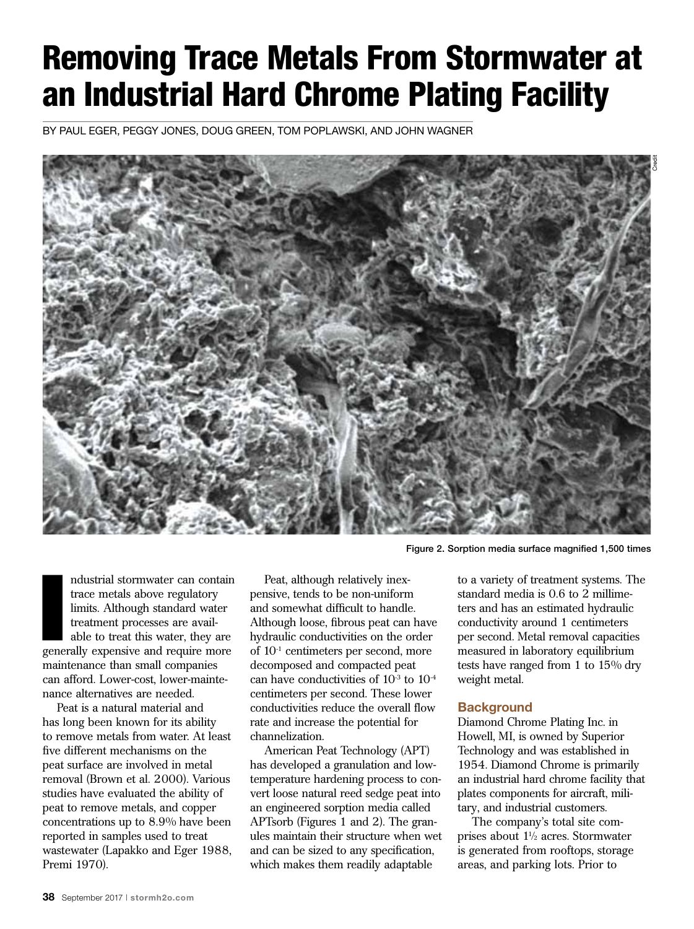# Removing Trace Metals From Stormwater at an Industrial Hard Chrome Plating Facility

By Paul Eger, Peggy Jones, Doug Green, Tom Poplawski, and John Wagner



Figure 2. Sorption media surface magnified 1,500 times

ndustrial stormwater can contain<br>trace metals above regulatory<br>limits. Although standard water<br>treatment processes are avail-<br>able to treat this water, they are<br>generally expensive and require more ndustrial stormwater can contain trace metals above regulatory limits. Although standard water treatment processes are available to treat this water, they are maintenance than small companies can afford. Lower-cost, lower-maintenance alternatives are needed.

Peat is a natural material and has long been known for its ability to remove metals from water. At least five different mechanisms on the peat surface are involved in metal removal (Brown et al. 2000). Various studies have evaluated the ability of peat to remove metals, and copper concentrations up to 8.9% have been reported in samples used to treat wastewater (Lapakko and Eger 1988, Premi 1970).

Peat, although relatively inexpensive, tends to be non-uniform and somewhat difficult to handle. Although loose, fibrous peat can have hydraulic conductivities on the order of 10-1 centimeters per second, more decomposed and compacted peat can have conductivities of  $10^{-3}$  to  $10^{-4}$ centimeters per second. These lower conductivities reduce the overall flow rate and increase the potential for channelization.

American Peat Technology (APT) has developed a granulation and lowtemperature hardening process to convert loose natural reed sedge peat into an engineered sorption media called APTsorb (Figures 1 and 2). The granules maintain their structure when wet and can be sized to any specification, which makes them readily adaptable

to a variety of treatment systems. The standard media is 0.6 to 2 millimeters and has an estimated hydraulic conductivity around 1 centimeters per second. Metal removal capacities measured in laboratory equilibrium tests have ranged from 1 to 15% dry weight metal.

### **Background**

Diamond Chrome Plating Inc. in Howell, MI, is owned by Superior Technology and was established in 1954. Diamond Chrome is primarily an industrial hard chrome facility that plates components for aircraft, military, and industrial customers.

The company's total site comprises about  $1\frac{1}{2}$  acres. Stormwater is generated from rooftops, storage areas, and parking lots. Prior to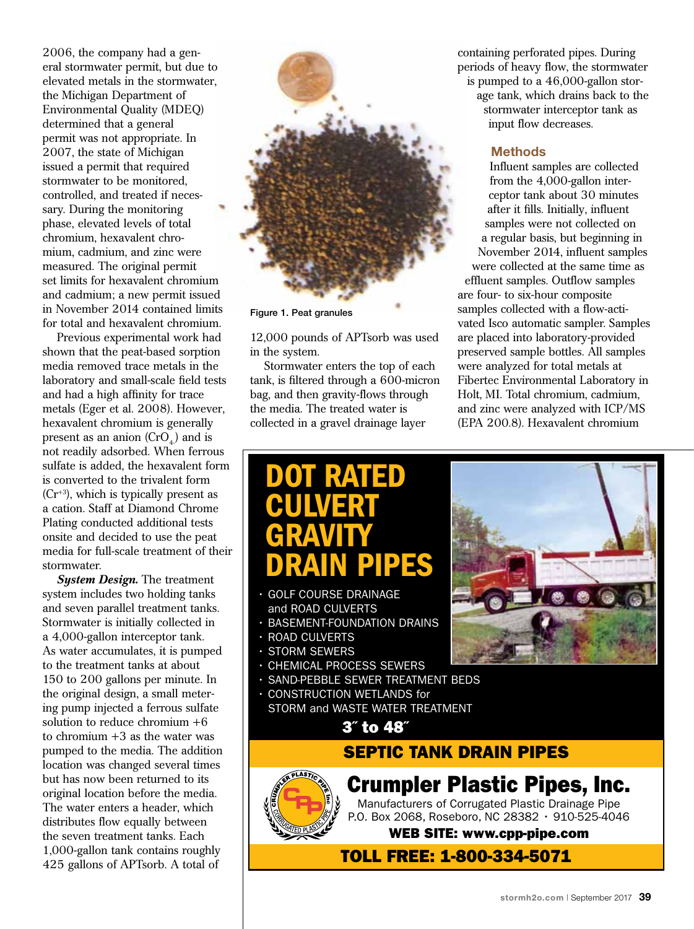2006, the company had a general stormwater permit, but due to elevated metals in the stormwater, the Michigan Department of Environmental Quality (MDEQ) determined that a general permit was not appropriate. In 2007, the state of Michigan issued a permit that required stormwater to be monitored, controlled, and treated if necessary. During the monitoring phase, elevated levels of total chromium, hexavalent chromium, cadmium, and zinc were measured. The original permit set limits for hexavalent chromium and cadmium; a new permit issued in November 2014 contained limits for total and hexavalent chromium.

Previous experimental work had shown that the peat-based sorption media removed trace metals in the laboratory and small-scale field tests and had a high affinity for trace metals (Eger et al. 2008). However, hexavalent chromium is generally present as an anion  $(CrO<sub>4</sub>)$  and is not readily adsorbed. When ferrous sulfate is added, the hexavalent form is converted to the trivalent form  $(Cr^{+3})$ , which is typically present as a cation. Staff at Diamond Chrome Plating conducted additional tests onsite and decided to use the peat media for full-scale treatment of their stormwater.

*System Design.* The treatment system includes two holding tanks and seven parallel treatment tanks. Stormwater is initially collected in a 4,000-gallon interceptor tank. As water accumulates, it is pumped to the treatment tanks at about 150 to 200 gallons per minute. In the original design, a small metering pump injected a ferrous sulfate solution to reduce chromium +6 to chromium +3 as the water was pumped to the media. The addition location was changed several times but has now been returned to its original location before the media. The water enters a header, which distributes flow equally between the seven treatment tanks. Each 1,000-gallon tank contains roughly 425 gallons of APTsorb. A total of



Figure 1. Peat granules

12,000 pounds of APTsorb was used in the system.

Stormwater enters the top of each tank, is filtered through a 600-micron bag, and then gravity-flows through the media. The treated water is collected in a gravel drainage layer

containing perforated pipes. During periods of heavy flow, the stormwater is pumped to a 46,000-gallon storage tank, which drains back to the stormwater interceptor tank as input flow decreases.

### **Methods**

Influent samples are collected from the 4,000-gallon interceptor tank about 30 minutes after it fills. Initially, influent samples were not collected on a regular basis, but beginning in November 2014, influent samples were collected at the same time as

effluent samples. Outflow samples are four- to six-hour composite samples collected with a flow-activated Isco automatic sampler. Samples are placed into laboratory-provided preserved sample bottles. All samples were analyzed for total metals at Fibertec Environmental Laboratory in Holt, MI. Total chromium, cadmium, and zinc were analyzed with ICP/MS (EPA 200.8). Hexavalent chromium

## **RATED CULVERT GRAVITY** DRAIN PIPES

- **GOLF COURSE DRAINAGE** and ROAD CULVERTS
- BASEMENT-FOUNDATION DRAINS
- ROAD CULVERTS
- STORM SEWERS

**CPP**

- CHEMICAL PROCESS SEWERS
- SAND-PEBBLE SEWER TREATMENT BEDS
- CONSTRUCTION WETLANDS for STORM and WASTE WATER TREATMENT

3˝ to 48˝



### Crumpler Plastic Pipes, Inc.

Manufacturers of Corrugated Plastic Drainage Pipe P.O. Box 2068, Roseboro, NC 28382 • 910-525-4046

WEB SITE: www.cpp-pipe.com

TOLL FREE: 1-800-334-5071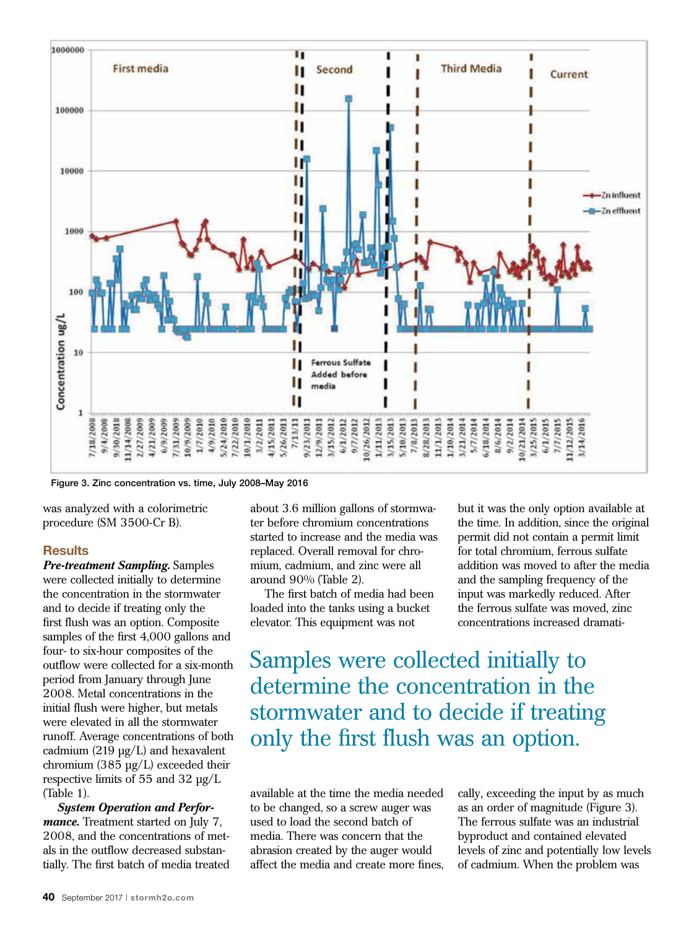

Figure 3. Zinc concentration vs. time, July 2008–May 2016

was analyzed with a colorimetric procedure (SM 3500-Cr B).

### **Results**

*Pre-treatment Sampling.* Samples were collected initially to determine the concentration in the stormwater and to decide if treating only the first flush was an option. Composite samples of the first 4,000 gallons and four- to six-hour composites of the outflow were collected for a six-month period from January through June 2008. Metal concentrations in the initial flush were higher, but metals were elevated in all the stormwater runoff. Average concentrations of both cadmium (219 µg/L) and hexavalent chromium (385 µg/L) exceeded their respective limits of 55 and 32 µg/L (Table 1).

*System Operation and Performance*. Treatment started on July 7, 2008, and the concentrations of metals in the outflow decreased substantially. The first batch of media treated about 3.6 million gallons of stormwater before chromium concentrations started to increase and the media was replaced. Overall removal for chromium, cadmium, and zinc were all around 90% (Table 2).

The first batch of media had been loaded into the tanks using a bucket elevator. This equipment was not

but it was the only option available at the time. In addition, since the original permit did not contain a permit limit for total chromium, ferrous sulfate addition was moved to after the media and the sampling frequency of the input was markedly reduced. After the ferrous sulfate was moved, zinc concentrations increased dramati-

Samples were collected initially to determine the concentration in the stormwater and to decide if treating only the first flush was an option.

available at the time the media needed to be changed, so a screw auger was used to load the second batch of media. There was concern that the abrasion created by the auger would affect the media and create more fines, cally, exceeding the input by as much as an order of magnitude (Figure 3). The ferrous sulfate was an industrial byproduct and contained elevated levels of zinc and potentially low levels of cadmium. When the problem was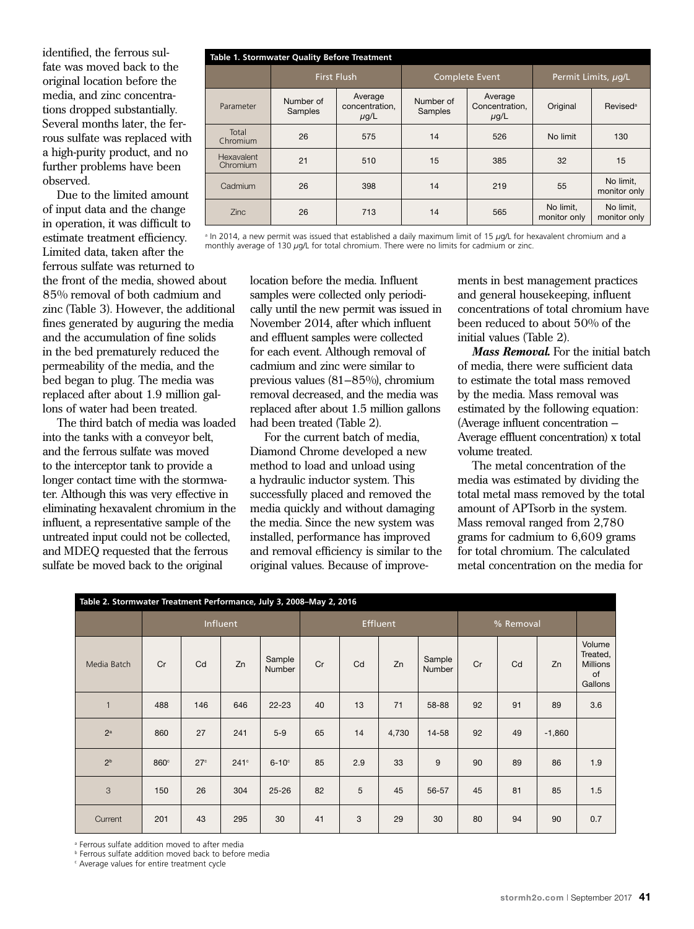identified, the ferrous sulfate was moved back to the original location before the media, and zinc concentrations dropped substantially. Several months later, the ferrous sulfate was replaced with a high-purity product, and no further problems have been observed.

Due to the limited amount of input data and the change in operation, it was difficult to estimate treatment efficiency. Limited data, taken after the ferrous sulfate was returned to the front of the media, showed about 85% removal of both cadmium and zinc (Table 3). However, the additional fines generated by auguring the media and the accumulation of fine solids in the bed prematurely reduced the permeability of the media, and the bed began to plug. The media was replaced after about 1.9 million gallons of water had been treated.

The third batch of media was loaded into the tanks with a conveyor belt, and the ferrous sulfate was moved to the interceptor tank to provide a longer contact time with the stormwater. Although this was very effective in eliminating hexavalent chromium in the influent, a representative sample of the untreated input could not be collected, and MDEQ requested that the ferrous sulfate be moved back to the original

| Table 1. Stormwater Quality Before Treatment |                      |                                        |                      |                                        |                           |                             |  |  |  |
|----------------------------------------------|----------------------|----------------------------------------|----------------------|----------------------------------------|---------------------------|-----------------------------|--|--|--|
|                                              |                      | <b>First Flush</b>                     |                      | Complete Event                         | Permit Limits, ug/L       |                             |  |  |  |
| Parameter                                    | Number of<br>Samples | Average<br>concentration,<br>$\mu$ g/L | Number of<br>Samples | Average<br>Concentration,<br>$\mu$ g/L | Original                  | <b>Revised</b> <sup>a</sup> |  |  |  |
| Total<br>Chromium                            | 26                   | 575                                    | 14                   | 526                                    | No limit                  | 130                         |  |  |  |
| Hexavalent<br>Chromium                       | 21                   | 510                                    | 15                   | 385                                    | 32                        | 15                          |  |  |  |
| Cadmium                                      | 26                   | 398                                    | 14                   | 219                                    | 55                        | No limit,<br>monitor only   |  |  |  |
| <b>Zinc</b>                                  | 26                   | 713                                    | 14                   | 565                                    | No limit,<br>monitor only | No limit,<br>monitor only   |  |  |  |

a In 2014, a new permit was issued that established a daily maximum limit of 15 *µ*g/L for hexavalent chromium and a monthly average of 130  $\mu$ g/L for total chromium. There were no limits for cadmium or zinc.

> location before the media. Influent samples were collected only periodically until the new permit was issued in November 2014, after which influent and effluent samples were collected for each event. Although removal of cadmium and zinc were similar to previous values (81–85%), chromium removal decreased, and the media was replaced after about 1.5 million gallons had been treated (Table 2).

> For the current batch of media, Diamond Chrome developed a new method to load and unload using a hydraulic inductor system. This successfully placed and removed the media quickly and without damaging the media. Since the new system was installed, performance has improved and removal efficiency is similar to the original values. Because of improve

ments in best management practices and general housekeeping, influent concentrations of total chromium have been reduced to about 50% of the initial values (Table 2).

*Mass Removal.* For the initial batch of media, there were sufficient data to estimate the total mass removed by the media. Mass removal was estimated by the following equation: (Average influent concentration – Average effluent concentration) x total volume treated.

The metal concentration of the media was estimated by dividing the total metal mass removed by the total amount of APTsorb in the system. Mass removal ranged from 2,780 grams for cadmium to 6,609 grams for total chromium. The calculated metal concentration on the media for

| Table 2. Stormwater Treatment Performance, July 3, 2008-May 2, 2016 |                  |                 |      |                  |    |     |           |                  |    |    |          |                                                        |
|---------------------------------------------------------------------|------------------|-----------------|------|------------------|----|-----|-----------|------------------|----|----|----------|--------------------------------------------------------|
|                                                                     | Influent         |                 |      | Effluent         |    |     | % Removal |                  |    |    |          |                                                        |
| Media Batch                                                         | Cr               | Cd              | Zn   | Sample<br>Number | Cr | Cd  | Zn        | Sample<br>Number | Cr | Cd | Zn       | Volume<br>Treated,<br><b>Millions</b><br>of<br>Gallons |
| $\mathbf{1}$                                                        | 488              | 146             | 646  | $22 - 23$        | 40 | 13  | 71        | 58-88            | 92 | 91 | 89       | 3.6                                                    |
| $2^a$                                                               | 860              | 27              | 241  | $5-9$            | 65 | 14  | 4,730     | 14-58            | 92 | 49 | $-1,860$ |                                                        |
| 2 <sup>b</sup>                                                      | 860 <sup>c</sup> | 27 <sup>c</sup> | 241c | $6-10$ °         | 85 | 2.9 | 33        | 9                | 90 | 89 | 86       | 1.9                                                    |
| 3                                                                   | 150              | 26              | 304  | $25 - 26$        | 82 | 5   | 45        | 56-57            | 45 | 81 | 85       | 1.5                                                    |
| Current                                                             | 201              | 43              | 295  | 30               | 41 | 3   | 29        | 30               | 80 | 94 | 90       | 0.7                                                    |

a Ferrous sulfate addition moved to after media

b Ferrous sulfate addition moved back to before media

c Average values for entire treatment cycle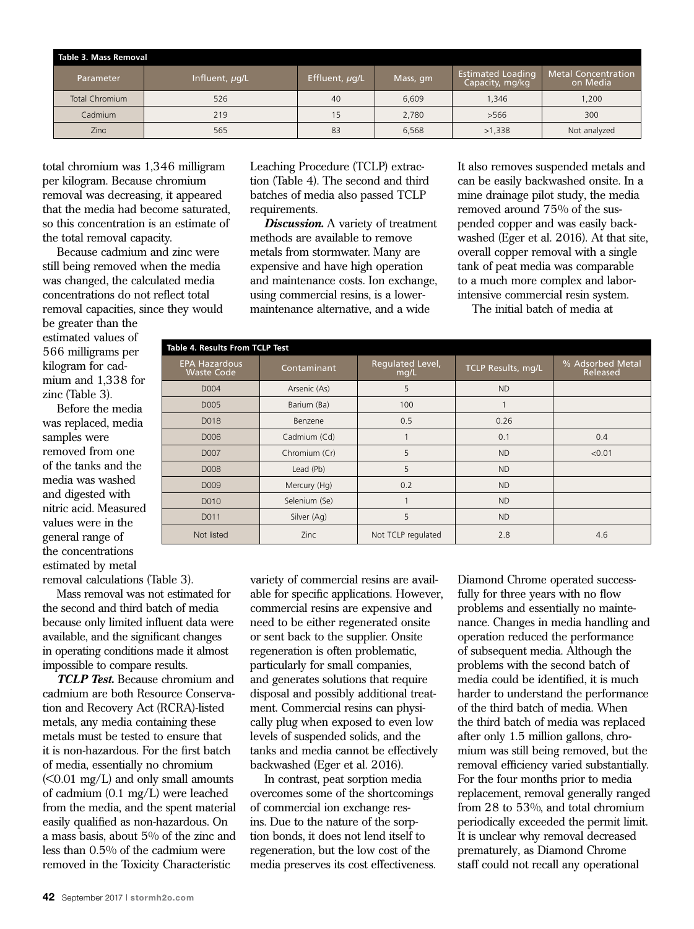| Table 3. Mass Removal |                |                |       |                                             |                                        |  |  |  |
|-----------------------|----------------|----------------|-------|---------------------------------------------|----------------------------------------|--|--|--|
| Parameter             | Influent, ug/L | Effluent, µg/L |       | <b>Estimated Loading</b><br>Capacity, mg/kg | <b>Metal Concentration</b><br>on Media |  |  |  |
| <b>Total Chromium</b> | 526            | 40             | 6,609 | 1,346                                       | 1.200                                  |  |  |  |
| Cadmium               | 219            | 15             | 2.780 | >566                                        | 300                                    |  |  |  |
| <b>Zinc</b>           | 565            | 83             | 6.568 | >1,338                                      | Not analyzed                           |  |  |  |

total chromium was 1,346 milligram per kilogram. Because chromium removal was decreasing, it appeared that the media had become saturated, so this concentration is an estimate of the total removal capacity.

Because cadmium and zinc were still being removed when the media was changed, the calculated media concentrations do not reflect total removal capacities, since they would

be greater than the estimated values of 566 milligrams per kilogram for cadmium and 1,338 for zinc (Table 3).

Before the media was replaced, media samples were removed from one of the tanks and the media was washed and digested with nitric acid. Measured values were in the general range of the concentrations estimated by metal

removal calculations (Table 3).

Mass removal was not estimated for the second and third batch of media because only limited influent data were available, and the significant changes in operating conditions made it almost impossible to compare results.

*TCLP Test.* Because chromium and cadmium are both Resource Conservation and Recovery Act (RCRA)-listed metals, any media containing these metals must be tested to ensure that it is non-hazardous. For the first batch of media, essentially no chromium  $(<0.01$  mg/L) and only small amounts of cadmium (0.1 mg/L) were leached from the media, and the spent material easily qualified as non-hazardous. On a mass basis, about 5% of the zinc and less than 0.5% of the cadmium were removed in the Toxicity Characteristic

Leaching Procedure (TCLP) extraction (Table 4). The second and third batches of media also passed TCLP requirements.

*Discussion.* A variety of treatment methods are available to remove metals from stormwater. Many are expensive and have high operation and maintenance costs. Ion exchange, using commercial resins, is a lowermaintenance alternative, and a wide

It also removes suspended metals and can be easily backwashed onsite. In a mine drainage pilot study, the media removed around 75% of the suspended copper and was easily backwashed (Eger et al. 2016). At that site, overall copper removal with a single tank of peat media was comparable to a much more complex and laborintensive commercial resin system.

The initial batch of media at

| Table 4. Results From TCLP Test           |               |                          |                    |                              |  |  |  |
|-------------------------------------------|---------------|--------------------------|--------------------|------------------------------|--|--|--|
| <b>EPA Hazardous</b><br><b>Waste Code</b> | Contaminant   | Regulated Level,<br>mg/L | TCLP Results, mg/L | % Adsorbed Metal<br>Released |  |  |  |
| D004                                      | Arsenic (As)  | 5                        | <b>ND</b>          |                              |  |  |  |
| D005                                      | Barium (Ba)   | 100                      | 1                  |                              |  |  |  |
| D018                                      | Benzene       | 0.5                      | 0.26               |                              |  |  |  |
| D006                                      | Cadmium (Cd)  |                          | 0.1                | 0.4                          |  |  |  |
| D007                                      | Chromium (Cr) | 5                        | <b>ND</b>          | < 0.01                       |  |  |  |
| D008                                      | Lead (Pb)     | 5                        | <b>ND</b>          |                              |  |  |  |
| D <sub>009</sub>                          | Mercury (Hg)  | 0.2                      | <b>ND</b>          |                              |  |  |  |
| D010                                      | Selenium (Se) |                          | <b>ND</b>          |                              |  |  |  |
| D011                                      | Silver (Ag)   | 5                        | <b>ND</b>          |                              |  |  |  |
| Not listed                                | <b>Zinc</b>   | Not TCLP regulated       | 2.8                | 4.6                          |  |  |  |

variety of commercial resins are available for specific applications. However, commercial resins are expensive and need to be either regenerated onsite or sent back to the supplier. Onsite regeneration is often problematic, particularly for small companies, and generates solutions that require disposal and possibly additional treatment. Commercial resins can physically plug when exposed to even low levels of suspended solids, and the tanks and media cannot be effectively backwashed (Eger et al. 2016).

In contrast, peat sorption media overcomes some of the shortcomings of commercial ion exchange resins. Due to the nature of the sorption bonds, it does not lend itself to regeneration, but the low cost of the media preserves its cost effectiveness.

Diamond Chrome operated successfully for three years with no flow problems and essentially no maintenance. Changes in media handling and operation reduced the performance of subsequent media. Although the problems with the second batch of media could be identified, it is much harder to understand the performance of the third batch of media. When the third batch of media was replaced after only 1.5 million gallons, chromium was still being removed, but the removal efficiency varied substantially. For the four months prior to media replacement, removal generally ranged from 28 to 53%, and total chromium periodically exceeded the permit limit. It is unclear why removal decreased prematurely, as Diamond Chrome staff could not recall any operational